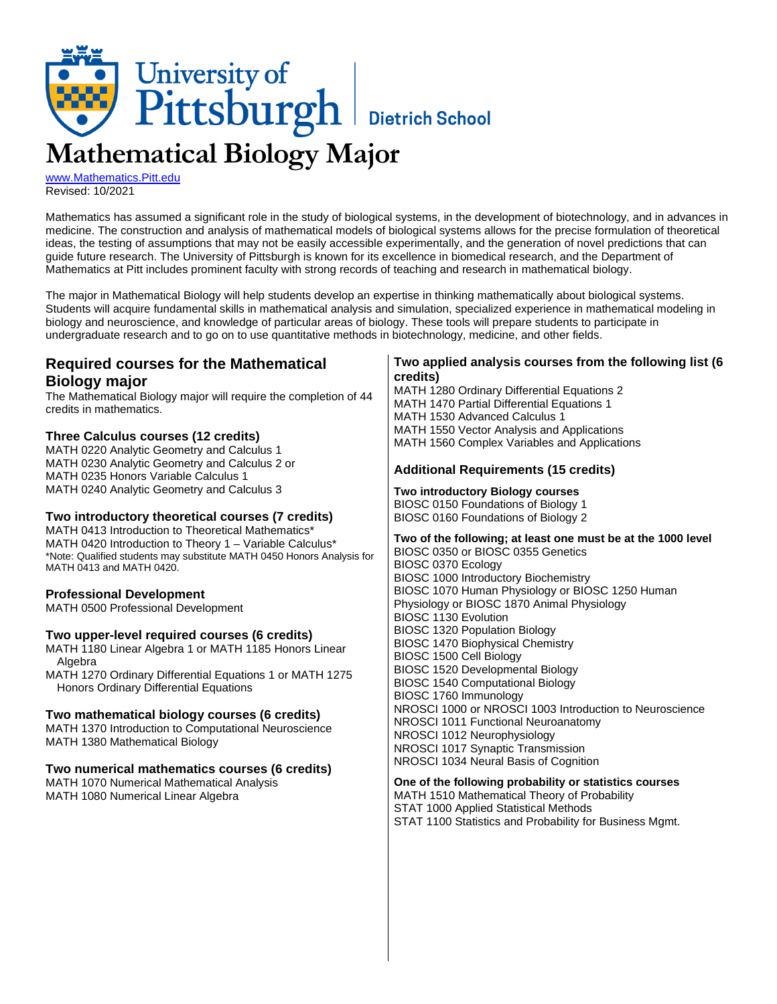

[www.Mathematics.Pitt.edu](http://www.mathematics.pitt.edu/) Revised: 10/2021

Mathematics has assumed a significant role in the study of biological systems, in the development of biotechnology, and in advances in medicine. The construction and analysis of mathematical models of biological systems allows for the precise formulation of theoretical ideas, the testing of assumptions that may not be easily accessible experimentally, and the generation of novel predictions that can guide future research. The University of Pittsburgh is known for its excellence in biomedical research, and the Department of Mathematics at Pitt includes prominent faculty with strong records of teaching and research in mathematical biology.

The major in Mathematical Biology will help students develop an expertise in thinking mathematically about biological systems. Students will acquire fundamental skills in mathematical analysis and simulation, specialized experience in mathematical modeling in biology and neuroscience, and knowledge of particular areas of biology. These tools will prepare students to participate in undergraduate research and to go on to use quantitative methods in biotechnology, medicine, and other fields.

# **Required courses for the Mathematical Biology major**

The Mathematical Biology major will require the completion of 44 credits in mathematics.

### **Three Calculus courses (12 credits)**

MATH 0220 Analytic Geometry and Calculus 1 MATH 0230 Analytic Geometry and Calculus 2 or MATH 0235 Honors Variable Calculus 1 MATH 0240 Analytic Geometry and Calculus 3

### **Two introductory theoretical courses (7 credits)**

MATH 0413 Introduction to Theoretical Mathematics\* MATH 0420 Introduction to Theory 1 - Variable Calculus\* \*Note: Qualified students may substitute MATH 0450 Honors Analysis for MATH 0413 and MATH 0420.

### **Professional Development**

MATH 0500 Professional Development

### **Two upper-level required courses (6 credits)**

MATH 1180 Linear Algebra 1 or MATH 1185 Honors Linear Algebra

MATH 1270 Ordinary Differential Equations 1 or MATH 1275 Honors Ordinary Differential Equations

### **Two mathematical biology courses (6 credits)**

MATH 1370 Introduction to Computational Neuroscience MATH 1380 Mathematical Biology

### **Two numerical mathematics courses (6 credits)**

MATH 1070 Numerical Mathematical Analysis MATH 1080 Numerical Linear Algebra

### **Two applied analysis courses from the following list (6 credits)**

MATH 1280 Ordinary Differential Equations 2 MATH 1470 Partial Differential Equations 1 MATH 1530 Advanced Calculus 1 MATH 1550 Vector Analysis and Applications MATH 1560 Complex Variables and Applications

### **Additional Requirements (15 credits)**

**Two introductory Biology courses** BIOSC 0150 Foundations of Biology 1 BIOSC 0160 Foundations of Biology 2

**Two of the following; at least one must be at the 1000 level** BIOSC 0350 or BIOSC 0355 Genetics BIOSC 0370 Ecology BIOSC 1000 Introductory Biochemistry BIOSC 1070 Human Physiology or BIOSC 1250 Human Physiology or BIOSC 1870 Animal Physiology BIOSC 1130 Evolution BIOSC 1320 Population Biology BIOSC 1470 Biophysical Chemistry BIOSC 1500 Cell Biology BIOSC 1520 Developmental Biology BIOSC 1540 Computational Biology BIOSC 1760 Immunology NROSCI 1000 or NROSCI 1003 Introduction to Neuroscience NROSCI 1011 Functional Neuroanatomy NROSCI 1012 Neurophysiology NROSCI 1017 Synaptic Transmission NROSCI 1034 Neural Basis of Cognition

**One of the following probability or statistics courses**

MATH 1510 Mathematical Theory of Probability

STAT 1000 Applied Statistical Methods STAT 1100 Statistics and Probability for Business Mgmt.